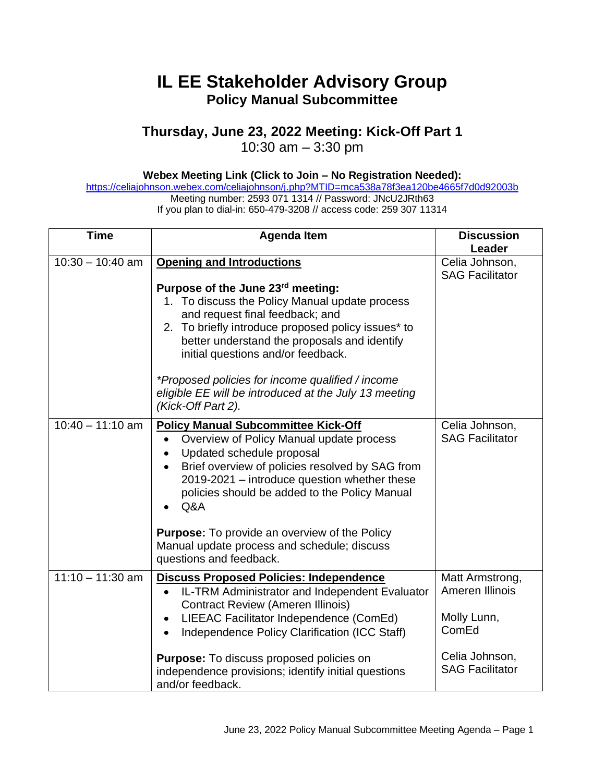# **IL EE Stakeholder Advisory Group Policy Manual Subcommittee**

# **Thursday, June 23, 2022 Meeting: Kick-Off Part 1**

10:30 am – 3:30 pm

## **Webex Meeting Link (Click to Join – No Registration Needed):**

<https://celiajohnson.webex.com/celiajohnson/j.php?MTID=mca538a78f3ea120be4665f7d0d92003b> Meeting number: 2593 071 1314 // Password: JNcU2JRth63

If you plan to dial-in: 650-479-3208 // access code: 259 307 11314

| <b>Time</b>        | <b>Agenda Item</b>                                                                                                                                                                                                                                                                                                                                                                                                                     | <b>Discussion</b>                                                                                      |
|--------------------|----------------------------------------------------------------------------------------------------------------------------------------------------------------------------------------------------------------------------------------------------------------------------------------------------------------------------------------------------------------------------------------------------------------------------------------|--------------------------------------------------------------------------------------------------------|
| $10:30 - 10:40$ am | <b>Opening and Introductions</b><br>Purpose of the June 23rd meeting:<br>1. To discuss the Policy Manual update process<br>and request final feedback; and<br>2. To briefly introduce proposed policy issues* to<br>better understand the proposals and identify<br>initial questions and/or feedback.<br>*Proposed policies for income qualified / income<br>eligible EE will be introduced at the July 13 meeting                    | Leader<br>Celia Johnson,<br><b>SAG Facilitator</b>                                                     |
| $10:40 - 11:10$ am | (Kick-Off Part 2).<br><b>Policy Manual Subcommittee Kick-Off</b><br>Overview of Policy Manual update process<br>Updated schedule proposal<br>Brief overview of policies resolved by SAG from<br>2019-2021 - introduce question whether these<br>policies should be added to the Policy Manual<br>Q&A<br><b>Purpose:</b> To provide an overview of the Policy<br>Manual update process and schedule; discuss<br>questions and feedback. | Celia Johnson,<br><b>SAG Facilitator</b>                                                               |
| $11:10 - 11:30$ am | <b>Discuss Proposed Policies: Independence</b><br>IL-TRM Administrator and Independent Evaluator<br><b>Contract Review (Ameren Illinois)</b><br>LIEEAC Facilitator Independence (ComEd)<br>Independence Policy Clarification (ICC Staff)<br>$\bullet$<br>Purpose: To discuss proposed policies on<br>independence provisions; identify initial questions<br>and/or feedback.                                                           | Matt Armstrong,<br>Ameren Illinois<br>Molly Lunn,<br>ComEd<br>Celia Johnson,<br><b>SAG Facilitator</b> |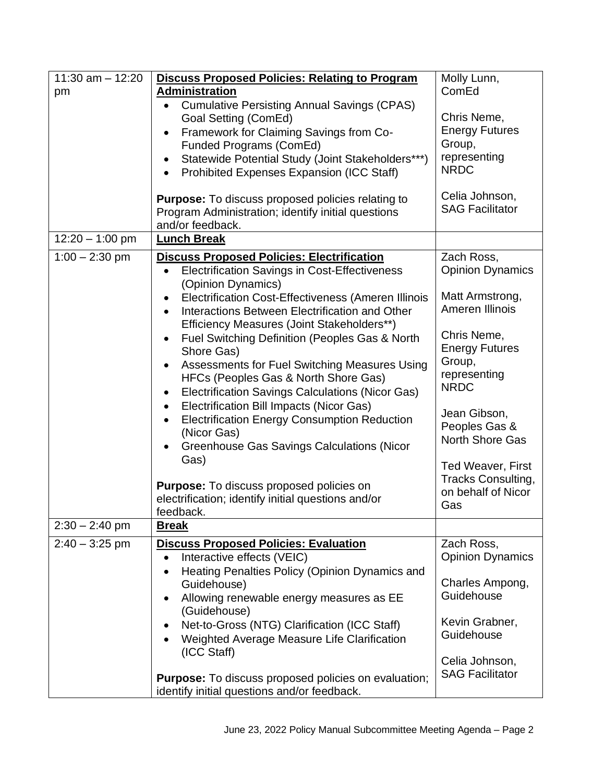| $11:30$ am $-12:20$ | <b>Discuss Proposed Policies: Relating to Program</b>                                                     | Molly Lunn,             |
|---------------------|-----------------------------------------------------------------------------------------------------------|-------------------------|
| pm                  | <b>Administration</b>                                                                                     | ComEd                   |
|                     | <b>Cumulative Persisting Annual Savings (CPAS)</b><br>$\bullet$                                           |                         |
|                     | Goal Setting (ComEd)                                                                                      | Chris Neme,             |
|                     | Framework for Claiming Savings from Co-<br>$\bullet$                                                      | <b>Energy Futures</b>   |
|                     | Funded Programs (ComEd)                                                                                   | Group,                  |
|                     | Statewide Potential Study (Joint Stakeholders***)                                                         | representing            |
|                     | Prohibited Expenses Expansion (ICC Staff)                                                                 | <b>NRDC</b>             |
|                     |                                                                                                           |                         |
|                     | <b>Purpose:</b> To discuss proposed policies relating to                                                  | Celia Johnson,          |
|                     | Program Administration; identify initial questions                                                        | <b>SAG Facilitator</b>  |
|                     | and/or feedback.                                                                                          |                         |
| $12:20 - 1:00$ pm   | <b>Lunch Break</b>                                                                                        |                         |
| $1:00 - 2:30$ pm    |                                                                                                           | Zach Ross,              |
|                     | <b>Discuss Proposed Policies: Electrification</b><br><b>Electrification Savings in Cost-Effectiveness</b> | <b>Opinion Dynamics</b> |
|                     | $\bullet$                                                                                                 |                         |
|                     | (Opinion Dynamics)                                                                                        | Matt Armstrong,         |
|                     | Electrification Cost-Effectiveness (Ameren Illinois                                                       | Ameren Illinois         |
|                     | Interactions Between Electrification and Other<br>$\bullet$                                               |                         |
|                     | Efficiency Measures (Joint Stakeholders**)                                                                |                         |
|                     | Fuel Switching Definition (Peoples Gas & North                                                            | Chris Neme,             |
|                     | Shore Gas)                                                                                                | <b>Energy Futures</b>   |
|                     | Assessments for Fuel Switching Measures Using                                                             | Group,                  |
|                     | HFCs (Peoples Gas & North Shore Gas)                                                                      | representing            |
|                     | Electrification Savings Calculations (Nicor Gas)                                                          | <b>NRDC</b>             |
|                     | Electrification Bill Impacts (Nicor Gas)<br>$\bullet$                                                     |                         |
|                     | <b>Electrification Energy Consumption Reduction</b>                                                       | Jean Gibson,            |
|                     | (Nicor Gas)                                                                                               | Peoples Gas &           |
|                     | <b>Greenhouse Gas Savings Calculations (Nicor</b>                                                         | North Shore Gas         |
|                     | Gas)                                                                                                      |                         |
|                     |                                                                                                           | Ted Weaver, First       |
|                     | <b>Purpose:</b> To discuss proposed policies on                                                           | Tracks Consulting,      |
|                     | electrification; identify initial questions and/or                                                        | on behalf of Nicor      |
|                     | feedback.                                                                                                 | Gas                     |
| $2:30 - 2:40$ pm    | <u>Break</u>                                                                                              |                         |
| $2:40 - 3:25$ pm    | <b>Discuss Proposed Policies: Evaluation</b>                                                              | Zach Ross,              |
|                     | Interactive effects (VEIC)                                                                                | <b>Opinion Dynamics</b> |
|                     | Heating Penalties Policy (Opinion Dynamics and<br>$\bullet$                                               |                         |
|                     | Guidehouse)                                                                                               | Charles Ampong,         |
|                     | Allowing renewable energy measures as EE                                                                  | Guidehouse              |
|                     | (Guidehouse)                                                                                              |                         |
|                     | Net-to-Gross (NTG) Clarification (ICC Staff)                                                              | Kevin Grabner,          |
|                     | Weighted Average Measure Life Clarification                                                               | Guidehouse              |
|                     | (ICC Staff)                                                                                               |                         |
|                     |                                                                                                           | Celia Johnson,          |
|                     | <b>Purpose:</b> To discuss proposed policies on evaluation;                                               | <b>SAG Facilitator</b>  |
|                     | identify initial questions and/or feedback.                                                               |                         |
|                     |                                                                                                           |                         |